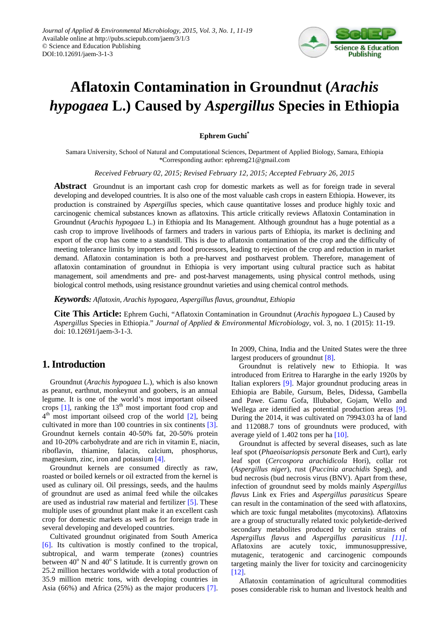

# **Aflatoxin Contamination in Groundnut (***Arachis hypogaea* **L.) Caused by** *Aspergillus* **Species in Ethiopia**

### **Ephrem Guchi\***

Samara University, School of Natural and Computational Sciences, Department of Applied Biology, Samara, Ethiopia \*Corresponding author: ephremg21@gmail.com

*Received February 02, 2015; Revised February 12, 2015; Accepted February 26, 2015*

**Abstract** Groundnut is an important cash crop for domestic markets as well as for foreign trade in several developing and developed countries. It is also one of the most valuable cash crops in eastern Ethiopia. However, its production is constrained by *Aspergillus* species*,* which cause quantitative losses and produce highly toxic and carcinogenic chemical substances known as aflatoxins. This article critically reviews Aflatoxin Contamination in Groundnut (*Arachis hypogaea* L.) in Ethiopia and Its Management. Although groundnut has a huge potential as a cash crop to improve livelihoods of farmers and traders in various parts of Ethiopia, its market is declining and export of the crop has come to a standstill. This is due to aflatoxin contamination of the crop and the difficulty of meeting tolerance limits by importers and food processors, leading to rejection of the crop and reduction in market demand. Aflatoxin contamination is both a pre-harvest and postharvest problem. Therefore, management of aflatoxin contamination of groundnut in Ethiopia is very important using cultural practice such as habitat management, soil amendments and pre- and post-harvest managements, using physical control methods, using biological control methods, using resistance groundnut varieties and using chemical control methods.

*Keywords: Aflatoxin, Arachis hypogaea, Aspergillus flavus, groundnut, Ethiopia*

**Cite This Article:** Ephrem Guchi, "Aflatoxin Contamination in Groundnut (*Arachis hypogaea* L.) Caused by *Aspergillus* Species in Ethiopia." *Journal of Applied & Environmental Microbiology*, vol. 3, no. 1 (2015): 11-19. doi: 10.12691/jaem-3-1-3.

# **1. Introduction**

Groundnut (*Arachis hypogaea* L.), which is also known as peanut, earthnut, monkeynut and goobers, is an annual legume. It is one of the world's most important oilseed crops  $[1]$ , ranking the  $13<sup>th</sup>$  most important food crop and  $4<sup>th</sup>$  most important oilseed crop of the world  $[2]$ , being cultivated in more than 100 countries in six continents [\[3\].](#page-7-2) Groundnut kernels contain 40-50% fat, 20-50% protein and 10-20% carbohydrate and are rich in vitamin E, niacin, riboflavin, thiamine, falacin, calcium, phosphorus, magnesium, zinc, iron and potassium [\[4\].](#page-7-3)

Groundnut kernels are consumed directly as raw, roasted or boiled kernels or oil extracted from the kernel is used as culinary oil. Oil pressings, seeds, and the haulms of groundnut are used as animal feed while the oilcakes are used as industrial raw material and fertilizer [\[5\].](#page-7-4) These multiple uses of groundnut plant make it an excellent cash crop for domestic markets as well as for foreign trade in several developing and developed countries.

Cultivated groundnut originated from South America [\[6\].](#page-7-5) Its cultivation is mostly confined to the tropical, subtropical, and warm temperate (zones) countries between  $40^{\circ}$  N and  $40^{\circ}$  S latitude. It is currently grown on 25.2 million hectares worldwide with a total production of 35.9 million metric tons, with developing countries in Asia (66%) and Africa (25%) as the major producers [\[7\].](#page-7-6) In 2009, China, India and the United States were the three largest producers of groundnu[t \[8\].](#page-7-7) 

Groundnut is relatively new to Ethiopia. It was introduced from Eritrea to Hararghe in the early 1920s by Italian explorers [\[9\].](#page-7-8) Major groundnut producing areas in Ethiopia are Babile, Gursum, Beles, Didessa, Gambella and Pawe. Gamu Gofa, Illubabor, Gojam, Wello and Wellega are identified as potential production areas [\[9\].](#page-7-8) During the 2014, it was cultivated on 79943.03 ha of land and 112088.7 tons of groundnuts were produced, with average yield of 1.402 tons per ha [\[10\].](#page-7-9)

Groundnut is affected by several diseases, such as late leaf spot (*Phaeoisariopsis personate* Berk and Curt), early leaf spot (*Cercospora arachidicola* Hori), collar rot (*Aspergillus niger*), rust (*Puccinia arachidis* Speg), and bud necrosis (bud necrosis virus (BNV). Apart from these, infection of groundnut seed by molds mainly *Aspergillus flavus* Link ex Fries and *Aspergillus parasiticus* Speare can result in the contamination of the seed with aflatoxins, which are toxic fungal metabolites (mycotoxins). Aflatoxins are a group of structurally related toxic polyketide-derived secondary metabolites produced by certain strains of *Aspergillus flavus* and *Aspergillus parasiticus [\[11\]](#page-7-10)*. Aflatoxins are acutely toxic, immunosuppressive, mutagenic, teratogenic and carcinogenic compounds targeting mainly the liver for toxicity and carcinogenicity [\[12\].](#page-7-11)

Aflatoxin contamination of agricultural commodities poses considerable risk to human and livestock health and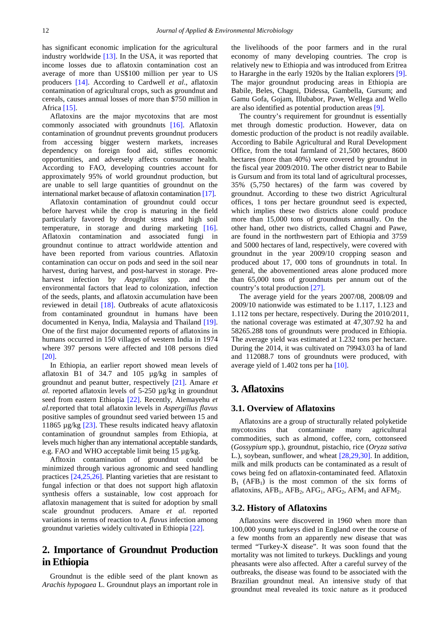has significant economic implication for the agricultural industry worldwide [\[13\].](#page-7-12) In the USA, it was reported that income losses due to aflatoxin contamination cost an average of more than US\$100 million per year to US producers [\[14\].](#page-7-13) According to Cardwell *et al*., aflatoxin contamination of agricultural crops, such as groundnut and cereals, causes annual losses of more than \$750 million in Africa [\[15\].](#page-7-14)

Aflatoxins are the major mycotoxins that are most commonly associated with groundnuts [\[16\].](#page-7-15) Aflatoxin contamination of groundnut prevents groundnut producers from accessing bigger western markets, increases dependency on foreign food aid, stifles economic opportunities, and adversely affects consumer health. According to FAO, developing countries account for approximately 95% of world groundnut production, but are unable to sell large quantities of groundnut on the international market because of aflatoxin contamination [\[17\].](#page-7-16)

Aflatoxin contamination of groundnut could occur before harvest while the crop is maturing in the field particularly favored by drought stress and high soil temperature, in storage and during marketing [\[16\].](#page-7-15) Aflatoxin contamination and associated fungi in groundnut continue to attract worldwide attention and have been reported from various countries. Aflatoxin contamination can occur on pods and seed in the soil near harvest, during harvest, and post-harvest in storage. Preharvest infection by *Aspergillus* spp. and the environmental factors that lead to colonization, infection of the seeds, plants, and aflatoxin accumulation have been reviewed in detail [\[18\].](#page-7-17) Outbreaks of acute aflatoxicosis from contaminated groundnut in humans have been documented in Kenya, India, Malaysia and Thailand [\[19\].](#page-7-18) One of the first major documented reports of aflatoxins in humans occurred in 150 villages of western India in 1974 where 397 persons were affected and 108 persons died [\[20\].](#page-7-19)

In Ethiopia, an earlier report showed mean levels of aflatoxin B1 of 34.7 and 105 µg/kg in samples of groundnut and peanut butter, respectively [\[21\].](#page-7-20) Amare *et al.* reported aflatoxin levels of 5-250 µg/kg in groundnut seed from eastern Ethiopia [\[22\].](#page-7-21) Recently, Alemayehu *et al.*reported that total aflatoxin levels in *Aspergillus flavus*  positive samples of groundnut seed varied between 15 and 11865 µg/kg [\[23\].](#page-7-22) These results indicated heavy aflatoxin contamination of groundnut samples from Ethiopia, at levels much higher than any international acceptable standards, e.g. FAO and WHO acceptable limit being 15 µg/kg.

Afltoxin contamination of groundnut could be minimized through various agronomic and seed handling practices [\[24,25,26\].](#page-7-23) Planting varieties that are resistant to fungal infection or that does not support high aflatoxin synthesis offers a sustainable, low cost approach for aflatoxin management that is suited for adoption by small scale groundnut producers. Amare *et al.* reported variations in terms of reaction to *A. flavus* infection among groundnut varieties widely cultivated in Ethiopia [\[22\].](#page-7-21)

# **2. Importance of Groundnut Production in Ethiopia**

Groundnut is the edible seed of the plant known as *Arachis hypogaea* L. Groundnut plays an important role in the livelihoods of the poor farmers and in the rural economy of many developing countries. The crop is relatively new to Ethiopia and was introduced from Eritrea to Hararghe in the early 1920s by the Italian explorers [\[9\].](#page-7-8) The major groundnut producing areas in Ethiopia are Babile, Beles, Chagni, Didessa, Gambella, Gursum; and Gamu Gofa, Gojam, Illubabor, Pawe, Wellega and Wello are also identified as potential production area[s \[9\].](#page-7-8)

The country's requirement for groundnut is essentially met through domestic production. However, data on domestic production of the product is not readily available. According to Babile Agricultural and Rural Development Office, from the total farmland of 21,500 hectares, 8600 hectares (more than 40%) were covered by groundnut in the fiscal year 2009/2010. The other district near to Babile is Gursum and from its total land of agricultural processes, 35% (5,750 hectares) of the farm was covered by groundnut. According to these two district Agricultural offices, 1 tons per hectare groundnut seed is expected, which implies these two districts alone could produce more than 15,000 tons of groundnuts annually. On the other hand, other two districts, called Chagni and Pawe, are found in the northwestern part of Ethiopia and 3759 and 5000 hectares of land, respectively, were covered with groundnut in the year 2009/10 cropping season and produced about 17, 000 tons of groundnuts in total. In general, the abovementioned areas alone produced more than 65,000 tons of groundnuts per annum out of the country's total productio[n \[27\].](#page-7-24)

The average yield for the years 2007/08, 2008/09 and 2009/10 nationwide was estimated to be 1.117, 1.123 and 1.112 tons per hectare, respectively. During the 2010/2011, the national coverage was estimated at 47,307.92 ha and 58265.288 tons of groundnuts were produced in Ethiopia. The average yield was estimated at 1.232 tons per hectare. During the 2014, it was cultivated on 79943.03 ha of land and 112088.7 tons of groundnuts were produced, with average yield of 1.402 tons per ha [\[10\].](#page-7-9)

# **3. Aflatoxins**

### **3.1. Overview of Aflatoxins**

Aflatoxins are a group of structurally related polyketide mycotoxins that contaminate many agricultural commodities, such as almond, coffee, corn, cottonseed (*Gossypium* spp.), groundnut, pistachio, rice (*Oryza sativa*  L.), soybean, sunflower, and wheat [\[28,29,30\].](#page-7-25) In addition, milk and milk products can be contaminated as a result of cows being fed on aflatoxin-contaminated feed. Aflatoxin  $B_1$  (AFB<sub>1</sub>) is the most common of the six forms of aflatoxins,  $AFB_1$ ,  $AFB_2$ ,  $AFG_1$ ,  $AFG_2$ ,  $AFM_1$  and  $AFM_2$ .

#### **3.2. History of Aflatoxins**

Aflatoxins were discovered in 1960 when more than 100,000 young turkeys died in England over the course of a few months from an apparently new disease that was termed "Turkey-X disease". It was soon found that the mortality was not limited to turkeys. Ducklings and young pheasants were also affected. After a careful survey of the outbreaks, the disease was found to be associated with the Brazilian groundnut meal. An intensive study of that groundnut meal revealed its toxic nature as it produced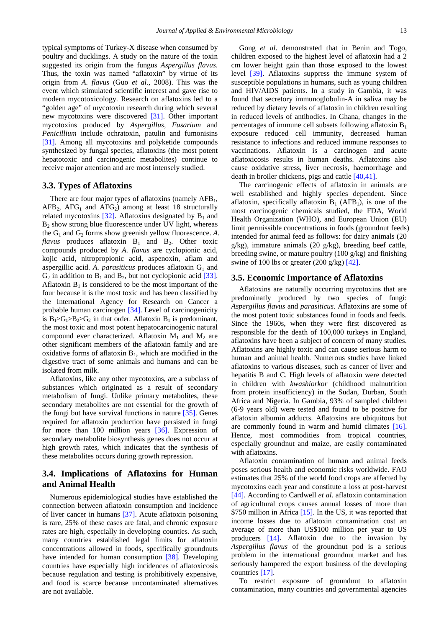typical symptoms of Turkey-X disease when consumed by poultry and ducklings. A study on the nature of the toxin suggested its origin from the fungus *Aspergillus flavus*. Thus, the toxin was named "aflatoxin" by virtue of its origin from *A. flavus* (Guo *et al*., 2008). This was the event which stimulated scientific interest and gave rise to modern mycotoxicology. Research on aflatoxins led to a "golden age" of mycotoxin research during which several new mycotoxins were discovered [\[31\].](#page-7-26) Other important mycotoxins produced by *Aspergillus, Fusarium* and *Penicillium* include ochratoxin, patulin and fumonisins [\[31\].](#page-7-26) Among all mycotoxins and polyketide compounds synthesized by fungal species, aflatoxins (the most potent hepatotoxic and carcinogenic metabolites) continue to receive major attention and are most intensely studied.

#### **3.3. Types of Aflatoxins**

There are four major types of aflatoxins (namely  $AFB<sub>1</sub>$ ,  $AFB<sub>2</sub>$ ,  $AFG<sub>1</sub>$  and  $AFG<sub>2</sub>$ ) among at least 18 structurally related mycotoxins  $[32]$ . Aflatoxins designated by  $B_1$  and  $B_2$  show strong blue fluorescence under UV light, whereas the  $G_1$  and  $G_2$  forms show greenish yellow fluorescence. A. *flavus* produces aflatoxin  $B_1$  and  $B_2$ . Other toxic compounds produced by *A. flavus* are cyclopionic acid, kojic acid, nitropropionic acid, aspenoxin, aflam and aspergillic acid. A. *parasiticus* produces aflatoxin  $G_1$  and  $G_2$  in addition to  $B_1$  and  $B_2$ , but not cyclopionic acid [\[33\].](#page-7-28) Aflatoxin  $B_1$  is considered to be the most important of the four because it is the most toxic and has been classified by the International Agency for Research on Cancer a probable human carcinogen [\[34\].](#page-7-29) Level of carcinogenicity is  $B_1 > G_1 > B_2 > G_2$  in that order. Aflatoxin  $B_1$  is predominant, the most toxic and most potent hepatocarcinogenic natural compound ever characterized. Aflatoxin  $M_1$  and  $M_2$  are other significant members of the aflatoxin family and are oxidative forms of aflatoxin  $B_1$ , which are modified in the digestive tract of some animals and humans and can be isolated from milk.

Aflatoxins, like any other mycotoxins, are a subclass of substances which originated as a result of secondary metabolism of fungi. Unlike primary metabolites, these secondary metabolites are not essential for the growth of the fungi but have survival functions in nature [\[35\].](#page-7-30) Genes required for aflatoxin production have persisted in fungi for more than 100 million years [\[36\].](#page-7-31) Expression of secondary metabolite biosynthesis genes does not occur at high growth rates, which indicates that the synthesis of these metabolites occurs during growth repression.

### **3.4. Implications of Aflatoxins for Human and Animal Health**

Numerous epidemiological studies have established the connection between aflatoxin consumption and incidence of liver cancer in humans [\[37\].](#page-7-32) Acute aflatoxin poisoning is rare, 25% of these cases are fatal, and chronic exposure rates are high, especially in developing counties. As such, many countries established legal limits for aflatoxin concentrations allowed in foods, specifically groundnuts have intended for human consumption [\[38\].](#page-7-33) Developing countries have especially high incidences of aflatoxicosis because regulation and testing is prohibitively expensive, and food is scarce because uncontaminated alternatives are not available.

Gong *et al*. demonstrated that in Benin and Togo, children exposed to the highest level of aflatoxin had a 2 cm lower height gain than those exposed to the lowest level [\[39\].](#page-7-34) Aflatoxins suppress the immune system of susceptible populations in humans, such as young children and HIV/AIDS patients. In a study in Gambia, it was found that secretory immunoglobulin-A in saliva may be reduced by dietary levels of aflatoxin in children resulting in reduced levels of antibodies. In Ghana, changes in the percentages of immune cell subsets following aflatoxin  $B_1$ exposure reduced cell immunity, decreased human resistance to infections and reduced immune responses to vaccinations. Aflatoxin is a carcinogen and acute aflatoxicosis results in human deaths. Aflatoxins also cause oxidative stress, liver necrosis, haemorrhage and death in broiler chickens, pigs and cattle [\[40,41\].](#page-7-35)

The carcinogenic effects of aflatoxin in animals are well established and highly species dependent. Since aflatoxin, specifically aflatoxin  $B_1$  (AFB<sub>1</sub>), is one of the most carcinogenic chemicals studied, the FDA, World Health Organization (WHO), and European Union (EU) limit permissible concentrations in foods (groundnut feeds) intended for animal feed as follows: for dairy animals (20 g/kg), immature animals (20 g/kg), breeding beef cattle, breeding swine, or mature poultry (100 g/kg) and finishing swine of 100 lbs or greater  $(200 \text{ g/kg})$  [\[42\].](#page-8-0)

#### **3.5. Economic Importance of Aflatoxins**

Aflatoxins are naturally occurring mycotoxins that are predominatly produced by two species of fungi: *Aspergillus flavus* and *parasiticus*. Aflatoxins are some of the most potent toxic substances found in foods and feeds. Since the 1960s, when they were first discovered as responsible for the death of 100,000 turkeys in England, aflatoxins have been a subject of concern of many studies. Aflatoxins are highly toxic and can cause serious harm to human and animal health. Numerous studies have linked aflatoxins to various diseases, such as cancer of liver and hepatitis B and C. High levels of aflatoxin were detected in children with *kwashiorkor* (childhood malnutrition from protein insufficiency) in the Sudan, Durban, South Africa and Nigeria. In Gambia, 93% of sampled children (6-9 years old) were tested and found to be positive for aflatoxin albumin adducts. Aflatoxins are ubiquitous but are commonly found in warm and humid climates [\[16\].](#page-7-15) Hence, most commodities from tropical countries, especially groundnut and maize, are easily contaminated with aflatoxins.

Aflatoxin contamination of human and animal feeds poses serious health and economic risks worldwide. FAO estimates that 25% of the world food crops are affected by mycotoxins each year and constitute a loss at post-harvest [\[44\].](#page-8-1) According to Cardwell *et al*. aflatoxin contamination of agricultural crops causes annual losses of more than \$750 million in Africa [\[15\].](#page-7-14) In the US, it was reported that income losses due to aflatoxin contamination cost an average of more than US\$100 million per year to US producers [\[14\].](#page-7-13) Aflatoxin due to the invasion by *Aspergillus flavus* of the groundnut pod is a serious problem in the international groundnut market and has seriously hampered the export business of the developing countries [\[17\].](#page-7-16)

To restrict exposure of groundnut to aflatoxin contamination, many countries and governmental agencies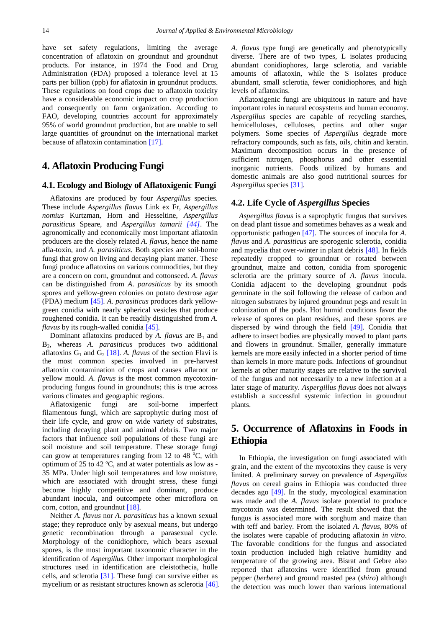have set safety regulations, limiting the average concentration of aflatoxin on groundnut and groundnut products. For instance, in 1974 the Food and Drug Administration (FDA) proposed a tolerance level at 15 parts per billion (ppb) for aflatoxin in groundnut products. These regulations on food crops due to aflatoxin toxicity have a considerable economic impact on crop production and consequently on farm organization. According to FAO, developing countries account for approximately 95% of world groundnut production, but are unable to sell large quantities of groundnut on the international market because of aflatoxin contamination [\[17\].](#page-7-16)

### **4. Aflatoxin Producing Fungi**

### **4.1. Ecology and Biology of Aflatoxigenic Fungi**

Aflatoxins are produced by four *Aspergillus* species. These include *Aspergillus flavus* Link ex Fr, *Aspergillus nomius* Kurtzman, Horn and Hesseltine, *Aspergillus parasiticus* Speare, and *Aspergillus tamarii [\[44\]](#page-8-1)*. The agronomically and economically most important aflatoxin producers are the closely related *A. flavus,* hence the name afla-toxin, and *A. parasiticus*. Both species are soil-borne fungi that grow on living and decaying plant matter. These fungi produce aflatoxins on various commodities, but they are a concern on corn, groundnut and cottonseed. *A. flavus*  can be distinguished from *A*. *parasiticus* by its smooth spores and yellow-green colonies on potato dextrose agar (PDA) medium [\[45\].](#page-8-2) *A. parasiticus* produces dark yellowgreen conidia with nearly spherical vesicles that produce roughened conidia. It can be readily distinguished from *A*. *flavus* by its rough-walled conidia [\[45\].](#page-8-2)

Dominant aflatoxins produced by *A. flavus* are  $B_1$  and B2, whereas *A. parasiticus* produces two additional aflatoxins  $G_1$  and  $G_2$  [\[18\].](#page-7-17) A. *flavus* of the section Flavi is the most common species involved in pre-harvest aflatoxin contamination of crops and causes aflaroot or yellow mould. *A. flavus* is the most common mycotoxinproducing fungus found in groundnuts; this is true across various climates and geographic regions.

Aflatoxigenic fungi are soil-borne imperfect filamentous fungi, which are saprophytic during most of their life cycle, and grow on wide variety of substrates, including decaying plant and animal debris. Two major factors that influence soil populations of these fungi are soil moisture and soil temperature. These storage fungi can grow at temperatures ranging from 12 to 48  $^{\circ}$ C, with optimum of 25 to 42 ºC, and at water potentials as low as - 35 MPa. Under high soil temperatures and low moisture, which are associated with drought stress, these fungi become highly competitive and dominant, produce abundant inocula, and outcompete other microflora on corn, cotton, and groundnut [\[18\].](#page-7-17)

Neither *A. flavus* nor *A. parasiticus* has a known sexual stage; they reproduce only by asexual means, but undergo genetic recombination through a parasexual cycle. Morphology of the conidiophore, which bears asexual spores, is the most important taxonomic character in the identification of *Aspergillus*. Other important morphological structures used in identification are cleistothecia, hulle cells, and sclerotia [\[31\].](#page-7-26) These fungi can survive either as mycelium or as resistant structures known as sclerotia [\[46\].](#page-8-3) *A. flavus* type fungi are genetically and phenotypically diverse. There are of two types, L isolates producing abundant conidiophores, large sclerotia, and variable amounts of aflatoxin, while the S isolates produce abundant, small sclerotia, fewer conidiophores, and high levels of aflatoxins.

Aflatoxigenic fungi are ubiquitous in nature and have important roles in natural ecosystems and human economy. *Aspergillus* species are capable of recycling starches, hemicelluloses, celluloses, pectins and other sugar polymers. Some species of *Aspergillus* degrade more refractory compounds, such as fats, oils, chitin and keratin. Maximum decomposition occurs in the presence of sufficient nitrogen, phosphorus and other essential inorganic nutrients. Foods utilized by humans and domestic animals are also good nutritional sources for *Aspergillus* specie[s \[31\].](#page-7-26)

### **4.2. Life Cycle of** *Aspergillus* **Species**

*Aspergillus flavus* is a saprophytic fungus that survives on dead plant tissue and sometimes behaves as a weak and opportunistic pathogen [\[47\].](#page-8-4) The sources of inocula for *A. flavus* and *A. parasiticus* are sporogenic sclerotia, conidia and mycelia that over-winter in plant debris [\[48\].](#page-8-5) In fields repeatedly cropped to groundnut or rotated between groundnut, maize and cotton, conidia from sporogenic sclerotia are the primary source of *A. flavus* inocula. Conidia adjacent to the developing groundnut pods germinate in the soil following the release of carbon and nitrogen substrates by injured groundnut pegs and result in colonization of the pods. Hot humid conditions favor the release of spores on plant residues, and these spores are dispersed by wind through the field [\[49\].](#page-8-6) Conidia that adhere to insect bodies are physically moved to plant parts and flowers in groundnut. Smaller, generally immature kernels are more easily infected in a shorter period of time than kernels in more mature pods. Infections of groundnut kernels at other maturity stages are relative to the survival of the fungus and not necessarily to a new infection at a later stage of maturity. *Aspergillus flavus* does not always establish a successful systemic infection in groundnut plants.

# **5. Occurrence of Aflatoxins in Foods in Ethiopia**

In Ethiopia, the investigation on fungi associated with grain, and the extent of the mycotoxins they cause is very limited. A preliminary survey on prevalence of *Aspergillus flavus* on cereal grains in Ethiopia was conducted three decades ago [\[49\].](#page-8-6) In the study, mycological examination was made and the *A. flavus* isolate potential to produce mycotoxin was determined. The result showed that the fungus is associated more with sorghum and maize than with teff and barley. From the isolated *A. flavus,* 80% of the isolates were capable of producing aflatoxin *in vitro*. The favorable conditions for the fungus and associated toxin production included high relative humidity and temperature of the growing area. Bisrat and Gebre also reported that aflatoxins were identified from ground pepper (*berbere*) and ground roasted pea (*shiro*) although the detection was much lower than various international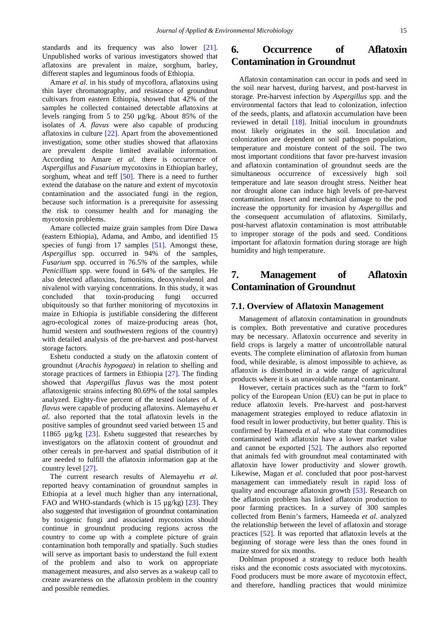standards and its frequency was also lower [\[21\].](#page-7-20) Unpublished works of various investigators showed that aflatoxins are prevalent in maize, sorghum, barley, different staples and leguminous foods of Ethiopia.

Amare *et al.* in his study of mycoflora, aflatoxins using thin layer chromatography, and resistance of groundnut cultivars from eastern Ethiopia, showed that 42% of the samples he collected contained detectable aflatoxins at levels ranging from 5 to 250 µg/kg. About 85% of the isolates of *A. flavus* were also capable of producing aflatoxins in culture  $[22]$ . Apart from the abovementioned investigation, some other studies showed that aflatoxins are prevalent despite limited available information. According to Amare *et al*. there is occurrence of *Aspergillus* and *Fusarium* mycotoxins in Ethiopian barley, sorghum, wheat and teff [\[50\].](#page-8-7) There is a need to further extend the database on the nature and extent of mycotoxin contamination and the associated fungi in the region, because such information is a prerequisite for assessing the risk to consumer health and for managing the mycotoxin problems.

Amare collected maize grain samples from Dire Dawa (eastern Ethiopia), Adama, and Ambo, and identified 15 species of fungi from 17 samples [\[51\].](#page-8-8) Amongst these, *Aspergillus* spp. occurred in 94% of the samples, *Fusarium* spp. occurred in 76.5% of the samples, while *Penicillium* spp. were found in 64% of the samples. He also detected aflatoxins, fumonisins, deoxynivalenol and nivalenol with varying concentrations. In this study, it was concluded that toxin-producing fungi occurred ubiquitously so that further monitoring of mycotoxins in maize in Ethiopia is justifiable considering the different agro-ecological zones of maize-producing areas (hot, humid western and southwestern regions of the country) with detailed analysis of the pre-harvest and post-harvest storage factors.

Eshetu conducted a study on the aflatoxin content of groundnut (*Arachis hypogaea*) in relation to shelling and storage practices of farmers in Ethiopia [\[27\].](#page-7-24) The finding showed that *Aspergillus flavus* was the most potent aflatoxigenic strains infecting 80.69% of the total samples analyzed. Eighty-five percent of the tested isolates of *A. flavus* were capable of producing aflatoxins. Alemayehu *et al*. also reported that the total aflatoxin levels in the positive samples of groundnut seed varied between 15 and 11865 µg/kg [\[23\].](#page-7-22) Eshetu suggested that researches by investigators on the aflatoxin content of groundnut and other cereals in pre-harvest and spatial distribution of it are needed to fulfill the aflatoxin information gap at the country level [\[27\].](#page-7-24)

The current research results of Alemayehu *et al.* reported heavy contamination of groundnut samples in Ethiopia at a level much higher than any international, FAO and WHO-standards (which is 15 µg/kg) [\[23\].](#page-7-22) They also suggested that investigation of groundnut contamination by toxigenic fungi and associated mycotoxins should continue in groundnut producing regions across the country to come up with a complete picture of grain contamination both temporally and spatially. Such studies will serve as important basis to understand the full extent of the problem and also to work on appropriate management measures, and also serves as a wakeup call to create awareness on the aflatoxin problem in the country and possible remedies.

# **6. Occurrence of Aflatoxin Contamination in Groundnut**

Aflatoxin contamination can occur in pods and seed in the soil near harvest, during harvest, and post-harvest in storage. Pre-harvest infection by *Aspergillus* spp. and the environmental factors that lead to colonization, infection of the seeds, plants, and aflatoxin accumulation have been reviewed in detail [\[18\].](#page-7-17) Initial inoculum in groundnuts most likely originates in the soil. Inoculation and colonization are dependent on soil pathogen population, temperature and moisture content of the soil. The two most important conditions that favor pre-harvest invasion and aflatoxin contamination of groundnut seeds are the simultaneous occurrence of excessively high soil temperature and late season drought stress. Neither heat nor drought alone can induce high levels of pre-harvest contamination. Insect and mechanical damage to the pod increase the opportunity for invasion by *Aspergillus* and the consequent accumulation of aflatoxins. Similarly, post-harvest aflatoxin contamination is most attributable to improper storage of the pods and seed. Conditions important for aflatoxin formation during storage are high humidity and high temperature.

# **7. Management of Aflatoxin Contamination of Groundnut**

### **7.1. Overview of Aflatoxin Management**

Management of aflatoxin contamination in groundnuts is complex. Both preventative and curative procedures may be necessary. Aflatoxin occurrence and severity in field crops is largely a matter of uncontrollable natural events. The complete elimination of aflatoxin from human food, while desirable, is almost impossible to achieve, as aflatoxin is distributed in a wide range of agricultural products where it is an unavoidable natural contaminant.

However, certain practices such as the "farm to fork" policy of the European Union (EU) can be put in place to reduce aflatoxin levels. Pre-harvest and post-harvest management strategies employed to reduce aflatoxin in food result in lower productivity, but better quality. This is confirmed by Hameeda *et al*. who state that commodities contaminated with aflatoxin have a lower market value and cannot be exported [\[52\].](#page-8-9) The authors also reported that animals fed with groundnut meal contaminated with aflatoxin have lower productivity and slower growth. Likewise, Magan *et al*. concluded that poor post-harvest management can immediately result in rapid loss of quality and encourage aflatoxin growth [\[53\].](#page-8-10) Research on the aflatoxin problem has linked aflatoxin production to poor farming practices. In a survey of 300 samples collected from Benin's farmers, Hameeda *et al.* analyzed the relationship between the level of aflatoxin and storage practices [\[52\].](#page-8-9) It was reported that aflatoxin levels at the beginning of storage were less than the ones found in maize stored for six months.

Dohlman proposed a strategy to reduce both health risks and the economic costs associated with mycotoxins. Food producers must be more aware of mycotoxin effect, and therefore, handling practices that would minimize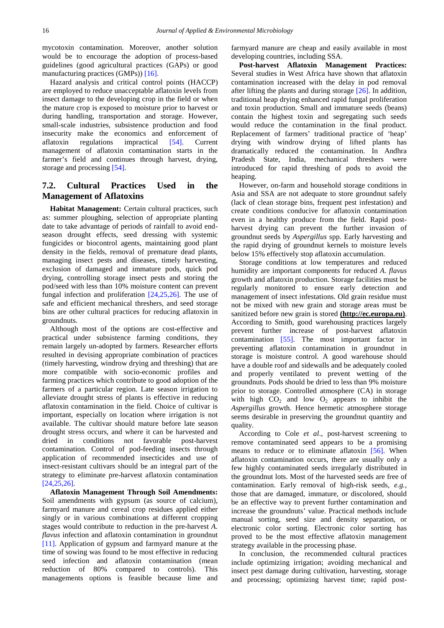mycotoxin contamination. Moreover, another solution would be to encourage the adoption of process-based guidelines (good agricultural practices (GAPs) or good manufacturing practices (GMPs)) [\[16\].](#page-7-15)

Hazard analysis and critical control points (HACCP) are employed to reduce unacceptable aflatoxin levels from insect damage to the developing crop in the field or when the mature crop is exposed to moisture prior to harvest or during handling, transportation and storage. However, small-scale industries, subsistence production and food insecurity make the economics and enforcement of aflatoxin regulations impractical [\[54\].](#page-8-11) Current management of aflatoxin contamination starts in the farmer's field and continues through harvest, drying, storage and processing [\[54\].](#page-8-11)

# **7.2. Cultural Practices Used in the Management of Aflatoxins**

**Habitat Management:** Certain cultural practices, such as: summer ploughing, selection of appropriate planting date to take advantage of periods of rainfall to avoid endseason drought effects, seed dressing with systemic fungicides or biocontrol agents, maintaining good plant density in the fields, removal of premature dead plants, managing insect pests and diseases, timely harvesting, exclusion of damaged and immature pods, quick pod drying, controlling storage insect pests and storing the pod/seed with less than 10% moisture content can prevent fungal infection and proliferation [\[24,25,26\].](#page-7-23) The use of safe and efficient mechanical threshers, and seed storage bins are other cultural practices for reducing aflatoxin in groundnuts.

Although most of the options are cost-effective and practical under subsistence farming conditions, they remain largely un-adopted by farmers. Researcher efforts resulted in devising appropriate combination of practices (timely harvesting, windrow drying and threshing) that are more compatible with socio-economic profiles and farming practices which contribute to good adoption of the farmers of a particular region. Late season irrigation to alleviate drought stress of plants is effective in reducing aflatoxin contamination in the field. Choice of cultivar is important, especially on location where irrigation is not available. The cultivar should mature before late season drought stress occurs, and where it can be harvested and dried in conditions not favorable post-harvest contamination. Control of pod-feeding insects through application of recommended insecticides and use of insect-resistant cultivars should be an integral part of the strategy to eliminate pre-harvest aflatoxin contamination [\[24,25,26\].](#page-7-23)

**Aflatoxin Management Through Soil Amendments:**  Soil amendments with gypsum (as source of calcium), farmyard manure and cereal crop residues applied either singly or in various combinations at different cropping stages would contribute to reduction in the pre-harvest *A. flavus* infection and aflatoxin contamination in groundnut [\[11\].](#page-7-10) Application of gypsum and farmyard manure at the time of sowing was found to be most effective in reducing seed infection and aflatoxin contamination (mean reduction of 80% compared to controls). This managements options is feasible because lime and farmyard manure are cheap and easily available in most developing countries, including SSA.

**Post-harvest Aflatoxin Management Practices:**  Several studies in West Africa have shown that aflatoxin contamination increased with the delay in pod removal after lifting the plants and during storage [\[26\].](#page-7-36) In addition, traditional heap drying enhanced rapid fungal proliferation and toxin production. Small and immature seeds (beans) contain the highest toxin and segregating such seeds would reduce the contamination in the final product. Replacement of farmers' traditional practice of 'heap' drying with windrow drying of lifted plants has dramatically reduced the contamination. In Andhra Pradesh State, India, mechanical threshers were introduced for rapid threshing of pods to avoid the heaping.

However, on-farm and household storage conditions in Asia and SSA are not adequate to store groundnut safely (lack of clean storage bins, frequent pest infestation) and create conditions conducive for aflatoxin contamination even in a healthy produce from the field. Rapid postharvest drying can prevent the further invasion of groundnut seeds by *Aspergillus* spp. Early harvesting and the rapid drying of groundnut kernels to moisture levels below 15% effectively stop aflatoxin accumulation.

Storage conditions at low temperatures and reduced humidity are important components for reduced *A. flavus*  growth and aflatoxin production. Storage facilities must be regularly monitored to ensure early detection and management of insect infestations. Old grain residue must not be mixed with new grain and storage areas must be sanitized before new grain is stored **(http://ec.europa.eu)**. According to Smith, good warehousing practices largely prevent further increase of post-harvest aflatoxin contamination [\[55\].](#page-8-12) The most important factor in preventing aflatoxin contamination in groundnut in storage is moisture control. A good warehouse should have a double roof and sidewalls and be adequately cooled and properly ventilated to prevent wetting of the groundnuts. Pods should be dried to less than 9% moisture prior to storage. Controlled atmosphere (CA) in storage with high  $CO<sub>2</sub>$  and low  $O<sub>2</sub>$  appears to inhibit the *Aspergillus* growth. Hence hermetic atmosphere storage seems desirable in preserving the groundnut quantity and quality.

According to Cole *et al*., post-harvest screening to remove contaminated seed appears to be a promising means to reduce or to eliminate aflatoxin [\[56\].](#page-8-13) When aflatoxin contamination occurs, there are usually only a few highly contaminated seeds irregularly distributed in the groundnut lots. Most of the harvested seeds are free of contamination. Early removal of high-risk seeds, *e.g.*, those that are damaged, immature, or discolored, should be an effective way to prevent further contamination and increase the groundnuts' value. Practical methods include manual sorting, seed size and density separation, or electronic color sorting. Electronic color sorting has proved to be the most effective aflatoxin management strategy available in the processing phase.

In conclusion, the recommended cultural practices include optimizing irrigation; avoiding mechanical and insect pest damage during cultivation, harvesting, storage and processing; optimizing harvest time; rapid post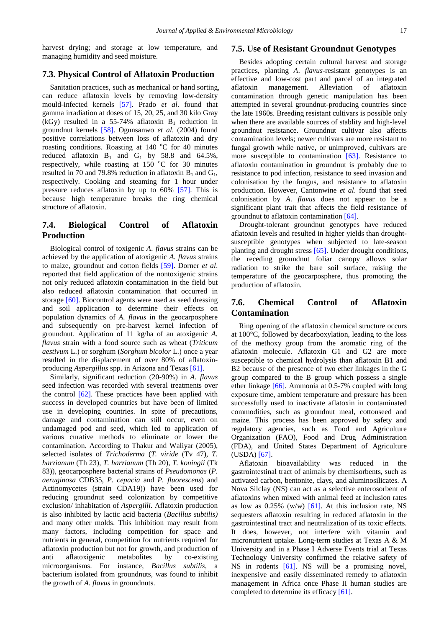harvest drying; and storage at low temperature, and managing humidity and seed moisture.

### **7.3. Physical Control of Aflatoxin Production**

Sanitation practices, such as mechanical or hand sorting, can reduce aflatoxin levels by removing low-density mould-infected kernels [\[57\].](#page-8-14) Prado *et al*. found that gamma irradiation at doses of 15, 20, 25, and 30 kilo Gray (kGy) resulted in a 55-74% aflatoxin  $B_1$  reduction in groundnut kernels [\[58\].](#page-8-15) Ogunsanwo *et al*. (2004) found positive correlations between loss of aflatoxin and dry roasting conditions. Roasting at  $140^{\circ}$ C for 40 minutes reduced aflatoxin  $B_1$  and  $G_1$  by 58.8 and 64.5%, respectively, while roasting at  $150^{\circ}$ C for 30 minutes resulted in 70 and 79.8% reduction in aflatoxin  $B_1$  and  $G_1$ , respectively. Cooking and steaming for 1 hour under pressure reduces aflatoxin by up to 60% [\[57\].](#page-8-14) This is because high temperature breaks the ring chemical structure of aflatoxin.

# **7.4. Biological Control of Aflatoxin Production**

Biological control of toxigenic *A*. *flavus* strains can be achieved by the application of atoxigenic *A. flavus* strains to maize, groundnut and cotton fields [\[59\].](#page-8-16) Dorner *et al*. reported that field application of the nontoxigenic strains not only reduced aflatoxin contamination in the field but also reduced aflatoxin contamination that occurred in storage [\[60\].](#page-8-17) Biocontrol agents were used as seed dressing and soil application to determine their effects on population dynamics of *A. flavus* in the geocarposphere and subsequently on pre-harvest kernel infection of groundnut. Application of 11 kg/ha of an atoxigenic *A. flavus* strain with a food source such as wheat (*Triticum aestivum* L.) or sorghum (*Sorghum bicolor* L.) once a year resulted in the displacement of over 80% of aflatoxinproducing *Aspergillus* spp. in Arizona and Texas [\[61\].](#page-8-18)

Similarly, significant reduction (20-90%) in *A. flavus*  seed infection was recorded with several treatments over the control  $[62]$ . These practices have been applied with success in developed countries but have been of limited use in developing countries. In spite of precautions, damage and contamination can still occur, even on undamaged pod and seed, which led to application of various curative methods to eliminate or lower the contamination. According to Thakur and Waliyar (2005), selected isolates of *Trichoderma* (*T. viride* (Tv 47), *T. harzianum* (Th 23), *T. harzianum* (Th 20), *T. koningii* (Tk 83)), geocarposphere bacterial strains of *Pseudomonas* (*P. aeruginosa* CDB35*, P. cepacia* and *P. fluorescens*) and Actinomycetes (strain CDA19)) have been used for reducing groundnut seed colonization by competitive exclusion/ inhabitation of *Aspergilli*. Aflatoxin production is also inhibited by lactic acid bacteria (*Bacillus subtilis)*  and many other molds. This inhibition may result from many factors, including competition for space and nutrients in general, competition for nutrients required for aflatoxin production but not for growth, and production of anti aflatoxigenic metabolites by co-existing microorganisms. For instance, *Bacillus subtilis*, a bacterium isolated from groundnuts, was found to inhibit the growth of *A. flavus* in groundnuts.

### **7.5. Use of Resistant Groundnut Genotypes**

Besides adopting certain cultural harvest and storage practices, planting *A*. *flavus*-resistant genotypes is an effective and low-cost part and parcel of an integrated aflatoxin management. Alleviation of aflatoxin contamination through genetic manipulation has been attempted in several groundnut-producing countries since the late 1960s. Breeding resistant cultivars is possible only when there are available sources of stablity and high-level groundnut resistance. Groundnut cultivar also affects contamination levels; newer cultivars are more resistant to fungal growth while native, or unimproved, cultivars are more susceptible to contamination [\[63\].](#page-8-20) Resistance to aflatoxin contamination in groundnut is probably due to resistance to pod infection, resistance to seed invasion and colonisation by the fungus, and resistance to aflatoxin production. However, Cantonwine *et al*. found that seed colonisation by *A*. *flavus* does not appear to be a significant plant trait that affects the field resistance of groundnut to aflatoxin contamination [\[64\].](#page-8-21)

Drought-tolerant groundnut genotypes have reduced aflatoxin levels and resulted in higher yields than droughtsusceptible genotypes when subjected to late-season planting and drought stress [\[65\].](#page-8-22) Under drought conditions, the receding groundnut foliar canopy allows solar radiation to strike the bare soil surface, raising the temperature of the geocarposphere, thus promoting the production of aflatoxin.

### **7.6. Chemical Control of Aflatoxin Contamination**

Ring opening of the aflatoxin chemical structure occurs at 100°C, followed by decarboxylation, leading to the loss of the methoxy group from the aromatic ring of the aflatoxin molecule. Aflatoxin G1 and G2 are more susceptible to chemical hydrolysis than aflatoxin B1 and B2 because of the presence of two ether linkages in the G group compared to the B group which possess a single ether linkage [\[66\].](#page-8-23) Ammonia at 0.5-7% coupled with long exposure time, ambient temperature and pressure has been successfully used to inactivate aflatoxin in contaminated commodities, such as groundnut meal, cottonseed and maize. This process has been approved by safety and regulatory agencies, such as Food and Agriculture Organization (FAO), Food and Drug Administration (FDA), and United States Department of Agriculture (USDA) [\[67\].](#page-8-24)

Aflatoxin bioavailability was reduced in the gastrointestinal tract of animals by chemisorbents, such as activated carbon, bentonite, clays, and aluminosilicates. A Nova Silclay (NS) can act as a selective enterosorbent of aflatoxins when mixed with animal feed at inclusion rates as low as  $0.25\%$  (w/w) [\[61\].](#page-8-18) At this inclusion rate, NS sequesters aflatoxin resulting in reduced aflatoxin in the gastrointestinal tract and neutralization of its toxic effects. It does, however, not interfere with vitamin and micronutrient uptake. Long-term studies at Texas A & M University and in a Phase I Adverse Events trial at Texas Technology University confirmed the relative safety of NS in rodents [\[61\].](#page-8-18) NS will be a promising novel, inexpensive and easily disseminated remedy to aflatoxin management in Africa once Phase II human studies are completed to determine its efficacy [\[61\].](#page-8-18)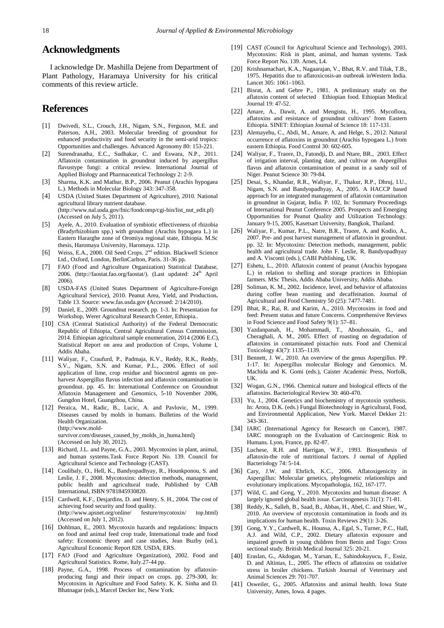### **Acknowledgments**

I acknowledge Dr. Mashilla Dejene from Department of Plant Pathology, Haramaya University for his critical comments of this review article.

# **References**

- <span id="page-7-0"></span>[1] Dwivedi, S.L., Crouch, J.H., Nigam, S.N., Ferguson, M.E. and Paterson, A.H., 2003. Molecular breeding of groundnut for enhanced productivity and food security in the semi-arid tropics: Opportunities and challenges. Advanced Agronomy 80: 153-221.
- <span id="page-7-1"></span>[2] Surendranatha, E.C., Sudhakar, C. and Eswara, N.P., 2011. Aflatoxin contamination in groundnut induced by aspergillus flavustype fungi: a critical review. International Journal of Applied Biology and Pharmaceutical Technology 2: 2-9.
- <span id="page-7-2"></span>[3] Sharma, K.K. and Mathur, B.P., 2006. Peanut (Arachis hypogaea L.). Methods in Molecular Biology 343: 347-358.
- <span id="page-7-3"></span>[4] USDA (United States Department of Agriculture), 2010. National agricultural library nutrient database. (http://www.nal.usda.gov/fnic/foodcomp/cgi-bin/list\_nut\_edit.pl) (Accessed on July 5, 2011).
- <span id="page-7-4"></span>[5] Ayele, A., 2010. Evaluation of symbiotic effectiveness of rhizobia (Bradyrhizobium spp.) with groundnut (Arachis hypogaea L.) in Eastern Hararghe zone of Oromiya regional state, Ethiopia. M.Sc thesis, Haromaya University, Haromaya. 121p.
- <span id="page-7-5"></span>[6] Weiss, E.A., 2000. Oil Seed Crops. 2<sup>nd</sup> edition. Blackwell Science Ltd., Oxford, London, BerlinCarlton, Paris. 31-36 pp.
- <span id="page-7-6"></span>[7] FAO (Food and Agriculture Organization) Statistical Database, 2006. (http://faostat.fao.org/faostat/). (Last updated: 24<sup>th</sup> April 2006).
- <span id="page-7-7"></span>[8] USDA-FAS (United States Department of Agriculture-Foreign Agricultural Service), 2010. Peanut Area, Yield, and Production**.** Table 13. Source: www.fas.usda.gov **(**Accessed: 2/14/2010).
- <span id="page-7-8"></span>[9] Daniel, E., 2009. Groundnut research. pp. 1-3. In: Presentation for Workshop, Werer Agricultural Research Center, Ethiopia..
- <span id="page-7-9"></span>[10] CSA (Central Statistical Authority) of the Federal Democratic Republic of Ethiopia, Central Agricultural Census Commission, 2014. Ethiopian agricultural sample enumeration, 2014 (2006 E.C), Statistical Report on area and production of Crops, Volume I, Addis Ababa.
- <span id="page-7-10"></span>[11] Waliyar, F., Craufurd, P., Padmaja, K.V., Reddy, R.K., Reddy, S.V., Nigam, S.N. and Kumar, P.L., 2006. Effect of soil application of lime, crop residue and biocontrol agents on preharvest Aspergillus flavus infection and aflatoxin contamination in groundnut. pp. 45. In: International Conference on Groundnut Aflatoxin Management and Genomics, 5-10 November 2006, Gungdon Hotel, Guangzhou, China.
- <span id="page-7-11"></span>[12] Peraica, M., Radic, B., Lucic, A. and Pavlovic, M., 1999. Diseases caused by molds in humans. Bulletins of the World Health Organization. (http://www.moldsurvivor.com/diseases\_caused\_by\_molds\_in\_huma.html) (Accessed on July 30, 2012).
- <span id="page-7-12"></span>[13] Richard, J.L. and Payne, G.A., 2003. Mycotoxins in plant, animal, and human systems.Task Force Report No. 139. Council for Agricultural Science and Technology (CAST).
- <span id="page-7-13"></span>[14] Coulibaly, O., Hell, K., Bandyopadhyay, R., Hounkponou, S. and Leslie, J. F., 2008. Mycotoxins: detection methods, management, public health and agricultural trade, Published by CAB International, ISBN 9781845930820.
- <span id="page-7-14"></span>[15] Cardwell, K.F., Desjardins, D. and Henry, S. H., 2004. The cost of achieving food security and food quality. (http://www.apsnet.org/online/ festure/mycotoxin/ top.html) (Accessed on July 1, 2012).
- <span id="page-7-15"></span>[16] Dohlman, E., 2003. Mycotoxin hazards and regulations: Impacts on food and animal feed crop trade, International trade and food safety: Economic theory and case studies, Jean Buzby (ed.), Agricultural Economic Report 828. USDA, ERS.
- <span id="page-7-16"></span>[17] FAO (Food and Agriculture Organization), 2002. Food and Agricultural Statistics. Rome, Italy.27-44 pp.
- <span id="page-7-17"></span>[18] Payne, G.A., 1998. Process of contamination by aflatoxinproducing fungi and their impact on crops. pp. 279-300, In: Mycotoxins in Agriculture and Food Safety. K. K. Sinha and D. Bhatnagar (eds.), Marcel Decker Inc, New York.
- <span id="page-7-18"></span>[19] CAST (Council for Agricultural Science and Technology), 2003. Mycotoxins: Risk in plant, animal, and human systems. Task Force Report No. 139. Arnes, L4.
- <span id="page-7-19"></span>[20] Krishnamachari, K.A., Nagaarajan, V., Bhat, R.V. and Tilak, T.B., 1975. Hepatitis due to aflatoxicosis-an outbreak inWestern India. Lancet 305: 1061–1063.
- <span id="page-7-20"></span>[21] Bisrat, A. and Gebre P., 1981. A preliminary study on the aflatoxin content of selected Ethiopian food. Ethiopian Medical Journal 19: 47-52.
- <span id="page-7-21"></span>[22] Amare, A., Dawit, A. and Mengistu, H., 1995. Mycoflora, aflatoxins and resistance of groundnut cultivars' from Eastern Ethiopia. SINET: Ethiopian Journal of Science 18: 117-131.
- <span id="page-7-22"></span>[23] Alemayehu, C., Abdi, M., Amare, A. and Helge, S., 2012. Natural occurrence of aflatoxins in groundnut (Arachis hypogaea L.) from eastern Ethiopia. Food Control 30: 602-605.
- <span id="page-7-23"></span>[24] Waliyar, F., Traore, D., Fatondji, D. and Ntare, BR., 2003. Effect of irrigation interval, planting date, and cultivar on Aspergillus flavus and aflatoxin contamination of peanut in a sandy soil of Niger. Peanut Science 30: 79-84.
- [25] Desai, S., Khandar, R.R., Waliyar, F., Thakur, R.P., Dhruj, I.U., Nigam, S.N. and Bandyopadhyay, A., 2005. A HACCP based approach for an integrated management of aflatoxin contamination in groundnut in Gujarat, India. P. 102, In: Summary Proceedings of International Peanut Conference 2005. Prospects and Emerging Opportunities for Peanut Quality and Utilization Technology. January 9-15, 2005, Kasetsart University, Bangkok, Thailand.
- <span id="page-7-36"></span>[26] Waliyar, F., Kumar, P.L., Natre, B.R., Traore, A. and Kodio, A., 2007. Pre- and post harvest management of aflatoxin in groundnut. pp. 32. In: Mycotoxins: Detection methods, management, public health and agricultural trade. John F. Leslie, R. Bandyopadhyay and A. Visconti (eds.), CABI Publishing, UK.
- <span id="page-7-24"></span>[27] Eshetu, L., 2010. Aflatoxin content of peanut (Arachis hypogaea L.) in relation to shelling and storage practices in Ethiopian farmers. MSc Thesis, Addis Ababa University, Addis Ababa.
- <span id="page-7-25"></span>[28] Soliman, K. M., 2002. Incidence, level, and behavior of aflatoxins during coffee bean roasting and decaffeination. Journal of Agricultural and Food Chemistry 50 (25): 7477-7481.
- [29] Bhat, R., Rai, R. and Karim, A., 2010. Mycotoxins in food and feed: Present status and future Concerns. Comprehensive Reviews in Food Science and Food Safety 9(1): 57–81.
- [30] Yazdanpanah, H., Mohammadi, T., Abouhossain, G., and Cheraghali, A. M., 2005. Effect of roasting on degradation of aflatoxins in contaminated pistachio nuts. Food and Chemical Toxicology 43(7): 1135–1139.
- <span id="page-7-26"></span>[31] Bennett, J. W., 2010. An overview of the genus Aspergillus. PP. 1-17. In: Aspergillus molecular Biology and Genomics. M. Machida and K. Gomi (eds.), Caister Academic Press, Norfolk, UK.
- <span id="page-7-27"></span>[32] Wogan, G.N., 1966. Chemical nature and biological effects of the aflatoxins. Bacteriological Review 30: 460-470.
- <span id="page-7-28"></span>[33] Yu, J., 2004. Genetics and biochemistry of mycotoxin synthesis. In: Arora, D.K. (eds.) Fungal Biotechnology in Agricultural, Food, and Environmental Application, New York. Marcel Dekker 21: 343-361.
- <span id="page-7-29"></span>[34] IARC (International Agency for Research on Cancer), 1987. IARC monograph on the Evaluation of Carcinogenic Risk to Humans. Lyon, France, pp. 82-87.
- <span id="page-7-30"></span>[35] Luchese, R.H. and Harrigan, W.F., 1993. Biosynthesis of aflatoxin-the role of nutritional factors. J ournal of Applied Bacteriology 74: 5-14.
- <span id="page-7-31"></span>[36] Cary, J.W. and Ehrlich, K.C., 2006. Aflatoxigenicity in Aspergillus: Molecular genetics, phylogenetic relationships and evolutionary implications. Mycopathologia, 162, 167-177.
- <span id="page-7-32"></span>[37] Wild, C. and Gong, Y., 2010. Mycotoxins and human disease: A largely ignored global health issue. Carcinogenesis 31(1): 71-81.
- <span id="page-7-33"></span>[38] Reddy, K., Salleh, B., Saad, B., Abbas, H., Abel, C. and Shier, W., 2010. An overview of mycotoxin contamination in foods and its implications for human health. Toxin Reviews 29(1): 3-26.
- <span id="page-7-34"></span>[39] Gong, Y.Y., Cardwell, K., Hounsa, A., Egal, S., Turner, P.C., Hall, A.J. and Wild, C.P., 2002. Dietary aflatoxin exposure and impaired growth in young children from Benin and Togo: Cross sectional study. British Medical Journal 325: 20-21.
- <span id="page-7-35"></span>[40] Eraslan, G., Akdogan, M., Yarsan, E., Sahindokuyucu, F., Essiz, D. and Altintas, L., 2005. The effects of aflatoxins on oxidative stress in broiler chickens. Turkish Journal of Veterinary and Animal Sciences 29: 701-707.
- [41] Osweiler, G., 2005. Aflatoxins and animal health. Iowa State University, Ames, Iowa. 4 pages.